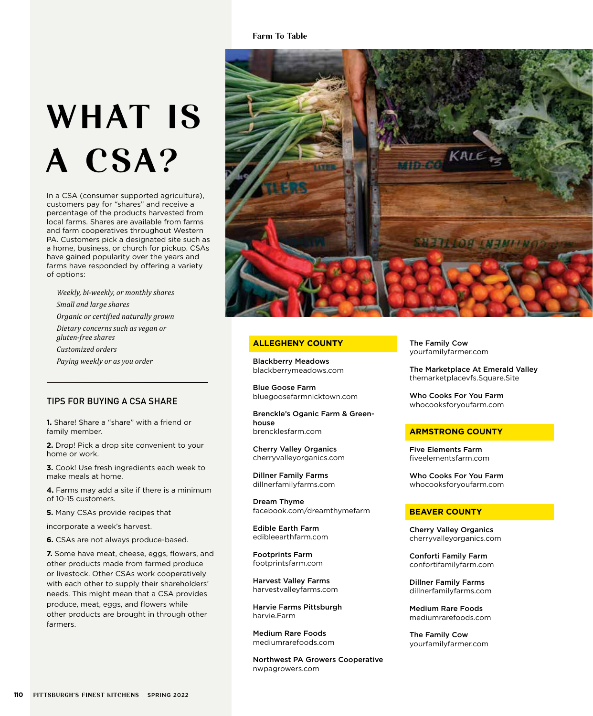# Farm To Table

# WHAT IS A CSA?

In a CSA (consumer supported agriculture), customers pay for "shares" and receive a percentage of the products harvested from local farms. Shares are available from farms and farm cooperatives throughout Western PA. Customers pick a designated site such as a home, business, or church for pickup. CSAs have gained popularity over the years and farms have responded by offering a variety of options:

*Weekly, bi-weekly, or monthly shares Small and large shares Organic or certified naturally grown Dietary concerns such as vegan or gluten-free shares Customized orders Paying weekly or as you order*

# TIPS FOR BUYING A CSA SHARE

**1.** Share! Share a "share" with a friend or family member.

**2.** Drop! Pick a drop site convenient to your home or work.

**3.** Cook! Use fresh ingredients each week to make meals at home.

**4.** Farms may add a site if there is a minimum of 10-15 customers.

**5.** Many CSAs provide recipes that

incorporate a week's harvest.

**6.** CSAs are not always produce-based.

**7.** Some have meat, cheese, eggs, flowers, and other products made from farmed produce or livestock. Other CSAs work cooperatively with each other to supply their shareholders' needs. This might mean that a CSA provides produce, meat, eggs, and flowers while other products are brought in through other farmers.



# **ALLEGHENY COUNTY**

Blackberry Meadows blackberrymeadows.com

Blue Goose Farm bluegoosefarmnicktown.com

Brenckle's Oganic Farm & Greenhouse brencklesfarm.com

Cherry Valley Organics cherryvalleyorganics.com

Dillner Family Farms dillnerfamilyfarms.com

Dream Thyme facebook.com/dreamthymefarm

Edible Earth Farm edibleearthfarm.com

Footprints Farm footprintsfarm.com

Harvest Valley Farms harvestvalleyfarms.com

Harvie Farms Pittsburgh harvie.Farm

Medium Rare Foods mediumrarefoods.com

Northwest PA Growers Cooperative nwpagrowers.com

The Family Cow yourfamilyfarmer.com

The Marketplace At Emerald Valley themarketplacevfs.Square.Site

Who Cooks For You Farm whocooksforyoufarm.com

#### **ARMSTRONG COUNTY**

Five Elements Farm fiveelementsfarm.com

Who Cooks For You Farm whocooksforyoufarm.com

#### **BEAVER COUNTY**

Cherry Valley Organics cherryvalleyorganics.com

Conforti Family Farm confortifamilyfarm.com

Dillner Family Farms dillnerfamilyfarms.com

Medium Rare Foods mediumrarefoods.com

The Family Cow yourfamilyfarmer.com